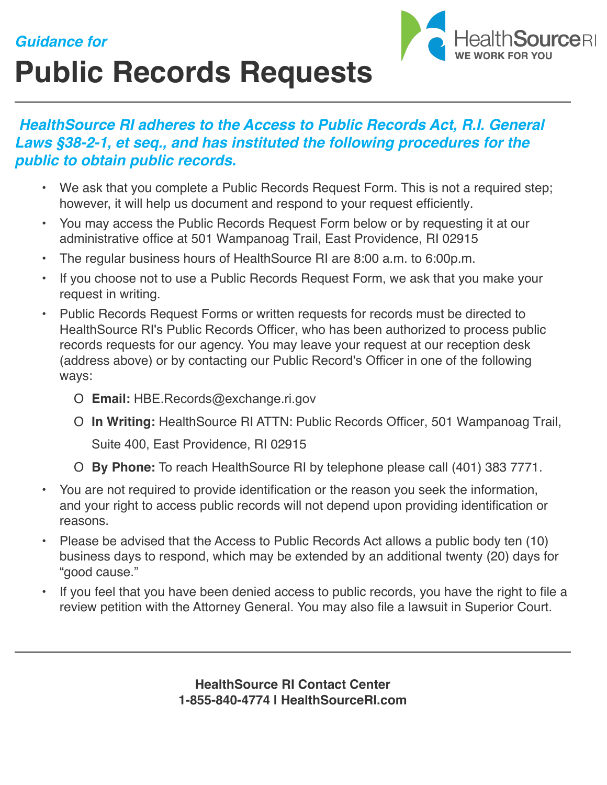## *Guidance for*





## *HealthSource RI adheres to the Access to Public Records Act, R.I. General Laws §38-2-1, et seq., and has instituted the following procedures for the public to obtain public records.*

- We ask that you complete a Public Records Request Form. This is not a required step; however, it will help us document and respond to your request efficiently.
- You may access the Public Records Request Form below or by requesting it at our administrative office at 501 Wampanoag Trail, East Providence, RI 02915
- The regular business hours of HealthSource RI are 8:00 a.m. to 6:00p.m.
- If you choose not to use a Public Records Request Form, we ask that you make your request in writing.
- Public Records Request Forms or written requests for records must be directed to HealthSource RI's Public Records Officer, who has been authorized to process public records requests for our agency. You may leave your request at our reception desk (address above) or by contacting our Public Record's Officer in one of the following ways:
	- O **Email:** HBE.Records@exchange.ri.gov
	- O **In Writing:** HealthSource RI ATTN: Public Records Officer, 501 Wampanoag Trail,

Suite 400, East Providence, RI 02915

O **By Phone:** To reach HealthSource RI by telephone please call (401) 383 7771.

- You are not required to provide identification or the reason you seek the information, and your right to access public records will not depend upon providing identification or reasons.
- Please be advised that the Access to Public Records Act allows a public body ten (10) business days to respond, which may be extended by an additional twenty (20) days for "good cause."
- If you feel that you have been denied access to public records, you have the right to file a review petition with the Attorney General. You may also file a lawsuit in Superior Court.

**HealthSource RI Contact Center 1-855-840-4774 | HealthSourceRI.com**